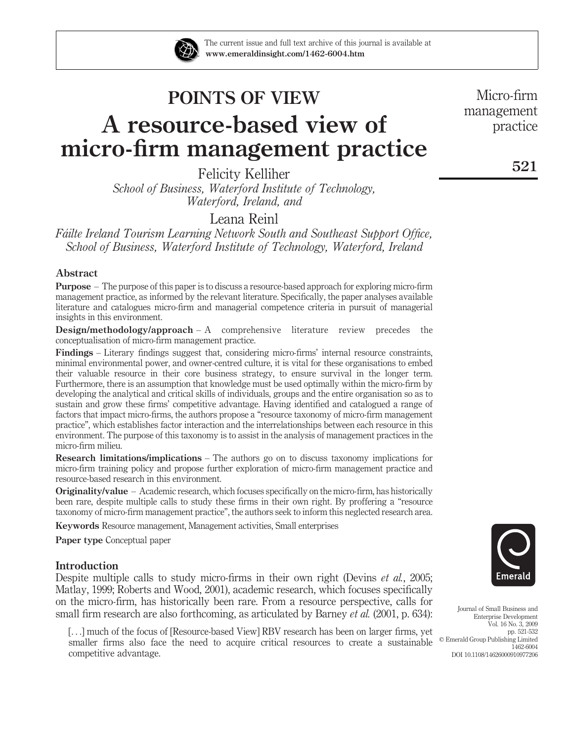

The current issue and full text archive of this journal is available at www.emeraldinsight.com/1462-6004.htm

# POINTS OF VIEW A resource-based view of micro-firm management practice

Felicity Kelliher

School of Business, Waterford Institute of Technology, Waterford, Ireland, and

Leana Reinl

Fáilte Ireland Tourism Learning Network South and Southeast Support Office, School of Business, Waterford Institute of Technology, Waterford, Ireland

### Abstract

Purpose – The purpose of this paper is to discuss a resource-based approach for exploring micro-firm management practice, as informed by the relevant literature. Specifically, the paper analyses available literature and catalogues micro-firm and managerial competence criteria in pursuit of managerial insights in this environment.

Design/methodology/approach – A comprehensive literature review precedes the conceptualisation of micro-firm management practice.

Findings – Literary findings suggest that, considering micro-firms' internal resource constraints, minimal environmental power, and owner-centred culture, it is vital for these organisations to embed their valuable resource in their core business strategy, to ensure survival in the longer term. Furthermore, there is an assumption that knowledge must be used optimally within the micro-firm by developing the analytical and critical skills of individuals, groups and the entire organisation so as to sustain and grow these firms' competitive advantage. Having identified and catalogued a range of factors that impact micro-firms, the authors propose a "resource taxonomy of micro-firm management practice", which establishes factor interaction and the interrelationships between each resource in this environment. The purpose of this taxonomy is to assist in the analysis of management practices in the micro-firm milieu.

Research limitations/implications – The authors go on to discuss taxonomy implications for micro-firm training policy and propose further exploration of micro-firm management practice and resource-based research in this environment.

**Originality/value** – Academic research, which focuses specifically on the micro-firm, has historically been rare, despite multiple calls to study these firms in their own right. By proffering a "resource taxonomy of micro-firm management practice", the authors seek to inform this neglected research area.

Keywords Resource management, Management activities, Small enterprises

Paper type Conceptual paper

### Introduction

Despite multiple calls to study micro-firms in their own right (Devins *et al.*, 2005; Matlay, 1999; Roberts and Wood, 2001), academic research, which focuses specifically on the micro-firm, has historically been rare. From a resource perspective, calls for small firm research are also forthcoming, as articulated by Barney *et al.* (2001, p. 634):

[...] much of the focus of [Resource-based View] RBV research has been on larger firms, yet smaller firms also face the need to acquire critical resources to create a sustainable competitive advantage.

Micro-firm management practice

521



Journal of Small Business and Enterprise Development Vol. 16 No. 3, 2009 pp. 521-532  $©$  Emerald Group Publishing Limited 1462-6004 DOI 10.1108/14626000910977206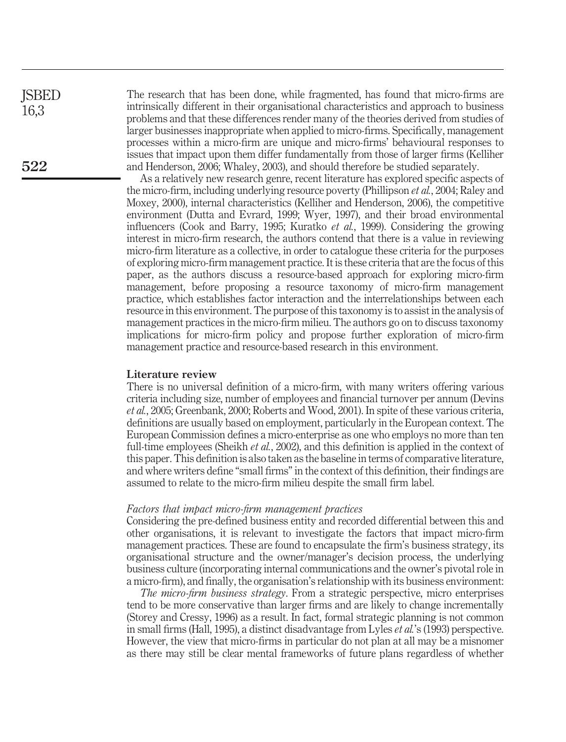The research that has been done, while fragmented, has found that micro-firms are intrinsically different in their organisational characteristics and approach to business problems and that these differences render many of the theories derived from studies of larger businesses inappropriate when applied to micro-firms. Specifically, management processes within a micro-firm are unique and micro-firms' behavioural responses to issues that impact upon them differ fundamentally from those of larger firms (Kelliher and Henderson, 2006; Whaley, 2003), and should therefore be studied separately.

As a relatively new research genre, recent literature has explored specific aspects of the micro-firm, including underlying resource poverty (Phillipson et al., 2004; Raley and Moxey, 2000), internal characteristics (Kelliher and Henderson, 2006), the competitive environment (Dutta and Evrard, 1999; Wyer, 1997), and their broad environmental influencers (Cook and Barry, 1995; Kuratko et al., 1999). Considering the growing interest in micro-firm research, the authors contend that there is a value in reviewing micro-firm literature as a collective, in order to catalogue these criteria for the purposes of exploring micro-firm management practice. It is these criteria that are the focus of this paper, as the authors discuss a resource-based approach for exploring micro-firm management, before proposing a resource taxonomy of micro-firm management practice, which establishes factor interaction and the interrelationships between each resource in this environment. The purpose of this taxonomy is to assist in the analysis of management practices in the micro-firm milieu. The authors go on to discuss taxonomy implications for micro-firm policy and propose further exploration of micro-firm management practice and resource-based research in this environment.

#### Literature review

There is no universal definition of a micro-firm, with many writers offering various criteria including size, number of employees and financial turnover per annum (Devins et al., 2005; Greenbank, 2000; Roberts and Wood, 2001). In spite of these various criteria, definitions are usually based on employment, particularly in the European context. The European Commission defines a micro-enterprise as one who employs no more than ten full-time employees (Sheikh *et al.*, 2002), and this definition is applied in the context of this paper. This definition is also taken as the baseline in terms of comparative literature, and where writers define "small firms" in the context of this definition, their findings are assumed to relate to the micro-firm milieu despite the small firm label.

#### Factors that impact micro-firm management practices

Considering the pre-defined business entity and recorded differential between this and other organisations, it is relevant to investigate the factors that impact micro-firm management practices. These are found to encapsulate the firm's business strategy, its organisational structure and the owner/manager's decision process, the underlying business culture (incorporating internal communications and the owner's pivotal role in a micro-firm), and finally, the organisation's relationship with its business environment:

The micro-firm business strategy. From a strategic perspective, micro enterprises tend to be more conservative than larger firms and are likely to change incrementally (Storey and Cressy, 1996) as a result. In fact, formal strategic planning is not common in small firms (Hall, 1995), a distinct disadvantage from Lyles et al.'s (1993) perspective. However, the view that micro-firms in particular do not plan at all may be a misnomer as there may still be clear mental frameworks of future plans regardless of whether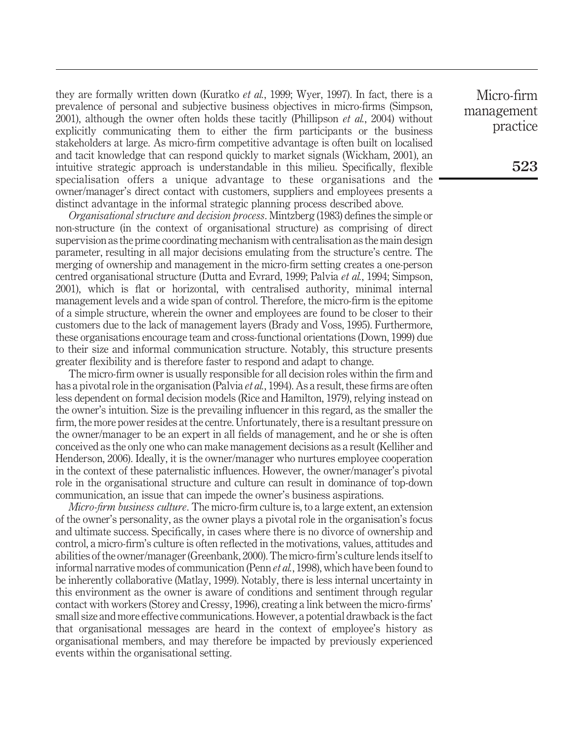they are formally written down (Kuratko et al., 1999; Wyer, 1997). In fact, there is a prevalence of personal and subjective business objectives in micro-firms (Simpson, 2001), although the owner often holds these tacitly (Phillipson *et al.*, 2004) without explicitly communicating them to either the firm participants or the business stakeholders at large. As micro-firm competitive advantage is often built on localised and tacit knowledge that can respond quickly to market signals (Wickham, 2001), an intuitive strategic approach is understandable in this milieu. Specifically, flexible specialisation offers a unique advantage to these organisations and the owner/manager's direct contact with customers, suppliers and employees presents a distinct advantage in the informal strategic planning process described above.

Organisational structure and decision process. Mintzberg (1983) defines the simple or non-structure (in the context of organisational structure) as comprising of direct supervision as the prime coordinating mechanism with centralisation as the main design parameter, resulting in all major decisions emulating from the structure's centre. The merging of ownership and management in the micro-firm setting creates a one-person centred organisational structure (Dutta and Evrard, 1999; Palvia et al., 1994; Simpson, 2001), which is flat or horizontal, with centralised authority, minimal internal management levels and a wide span of control. Therefore, the micro-firm is the epitome of a simple structure, wherein the owner and employees are found to be closer to their customers due to the lack of management layers (Brady and Voss, 1995). Furthermore, these organisations encourage team and cross-functional orientations (Down, 1999) due to their size and informal communication structure. Notably, this structure presents greater flexibility and is therefore faster to respond and adapt to change.

The micro-firm owner is usually responsible for all decision roles within the firm and has a pivotal role in the organisation (Palvia *et al.*, 1994). As a result, these firms are often less dependent on formal decision models (Rice and Hamilton, 1979), relying instead on the owner's intuition. Size is the prevailing influencer in this regard, as the smaller the firm, the more power resides at the centre. Unfortunately, there is a resultant pressure on the owner/manager to be an expert in all fields of management, and he or she is often conceived as the only one who can make management decisions as a result (Kelliher and Henderson, 2006). Ideally, it is the owner/manager who nurtures employee cooperation in the context of these paternalistic influences. However, the owner/manager's pivotal role in the organisational structure and culture can result in dominance of top-down communication, an issue that can impede the owner's business aspirations.

*Micro-firm business culture.* The micro-firm culture is, to a large extent, an extension of the owner's personality, as the owner plays a pivotal role in the organisation's focus and ultimate success. Specifically, in cases where there is no divorce of ownership and control, a micro-firm's culture is often reflected in the motivations, values, attitudes and abilities of the owner/manager (Greenbank, 2000). The micro-firm's culture lends itself to informal narrative modes of communication (Penn *et al.*, 1998), which have been found to be inherently collaborative (Matlay, 1999). Notably, there is less internal uncertainty in this environment as the owner is aware of conditions and sentiment through regular contact with workers (Storey and Cressy, 1996), creating a link between the micro-firms' small size and more effective communications. However, a potential drawback is the fact that organisational messages are heard in the context of employee's history as organisational members, and may therefore be impacted by previously experienced events within the organisational setting.

Micro-firm management practice

523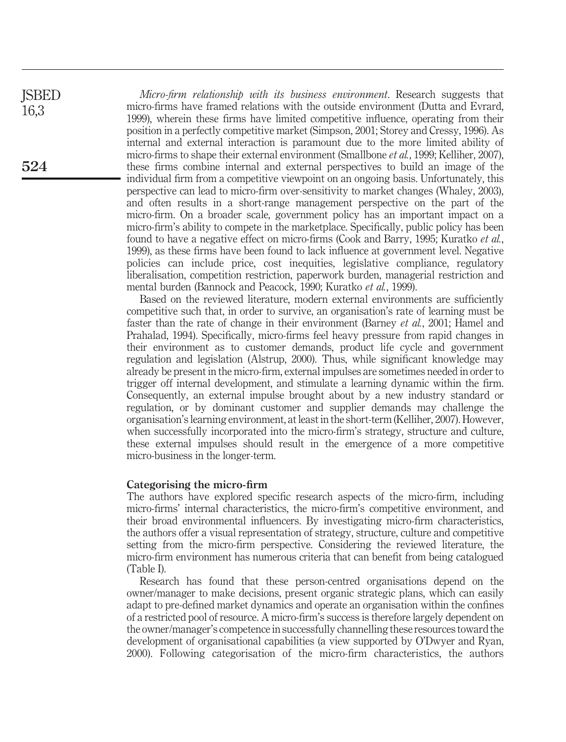Micro-firm relationship with its business environment. Research suggests that micro-firms have framed relations with the outside environment (Dutta and Evrard, 1999), wherein these firms have limited competitive influence, operating from their position in a perfectly competitive market (Simpson, 2001; Storey and Cressy, 1996). As internal and external interaction is paramount due to the more limited ability of micro-firms to shape their external environment (Smallbone *et al.*, 1999; Kelliher, 2007), these firms combine internal and external perspectives to build an image of the individual firm from a competitive viewpoint on an ongoing basis. Unfortunately, this perspective can lead to micro-firm over-sensitivity to market changes (Whaley, 2003), and often results in a short-range management perspective on the part of the micro-firm. On a broader scale, government policy has an important impact on a micro-firm's ability to compete in the marketplace. Specifically, public policy has been found to have a negative effect on micro-firms (Cook and Barry, 1995; Kuratko et al., 1999), as these firms have been found to lack influence at government level. Negative policies can include price, cost inequities, legislative compliance, regulatory liberalisation, competition restriction, paperwork burden, managerial restriction and mental burden (Bannock and Peacock, 1990; Kuratko et al., 1999).

Based on the reviewed literature, modern external environments are sufficiently competitive such that, in order to survive, an organisation's rate of learning must be faster than the rate of change in their environment (Barney et al., 2001; Hamel and Prahalad, 1994). Specifically, micro-firms feel heavy pressure from rapid changes in their environment as to customer demands, product life cycle and government regulation and legislation (Alstrup, 2000). Thus, while significant knowledge may already be present in the micro-firm, external impulses are sometimes needed in order to trigger off internal development, and stimulate a learning dynamic within the firm. Consequently, an external impulse brought about by a new industry standard or regulation, or by dominant customer and supplier demands may challenge the organisation's learning environment, at least in the short-term (Kelliher, 2007). However, when successfully incorporated into the micro-firm's strategy, structure and culture, these external impulses should result in the emergence of a more competitive micro-business in the longer-term.

#### Categorising the micro-firm

The authors have explored specific research aspects of the micro-firm, including micro-firms' internal characteristics, the micro-firm's competitive environment, and their broad environmental influencers. By investigating micro-firm characteristics, the authors offer a visual representation of strategy, structure, culture and competitive setting from the micro-firm perspective. Considering the reviewed literature, the micro-firm environment has numerous criteria that can benefit from being catalogued (Table I).

Research has found that these person-centred organisations depend on the owner/manager to make decisions, present organic strategic plans, which can easily adapt to pre-defined market dynamics and operate an organisation within the confines of a restricted pool of resource. A micro-firm's success is therefore largely dependent on the owner/manager's competence in successfully channelling these resources toward the development of organisational capabilities (a view supported by O'Dwyer and Ryan, 2000). Following categorisation of the micro-firm characteristics, the authors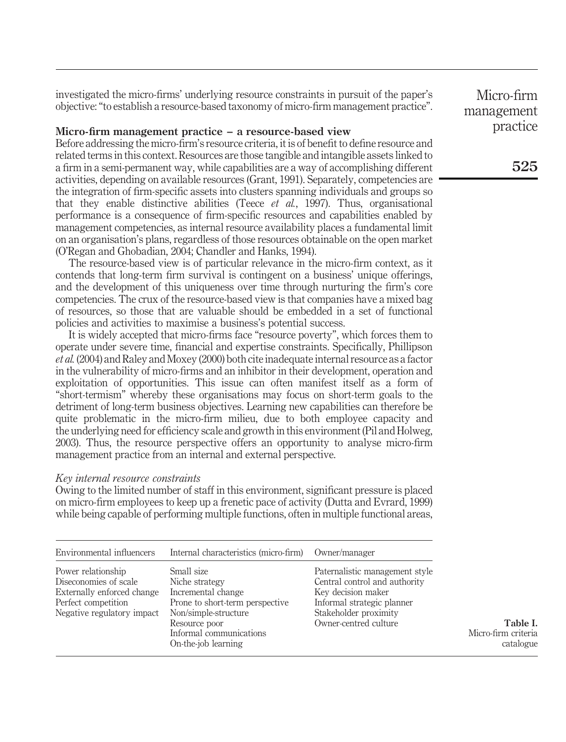investigated the micro-firms' underlying resource constraints in pursuit of the paper's objective: "to establish a resource-based taxonomy of micro-firm management practice".

#### Micro-firm management practice – a resource-based view

Before addressing the micro-firm's resource criteria, it is of benefit to define resource and related terms in this context. Resources are those tangible and intangible assets linked to a firm in a semi-permanent way, while capabilities are a way of accomplishing different activities, depending on available resources (Grant, 1991). Separately, competencies are the integration of firm-specific assets into clusters spanning individuals and groups so that they enable distinctive abilities (Teece *et al.*, 1997). Thus, organisational performance is a consequence of firm-specific resources and capabilities enabled by management competencies, as internal resource availability places a fundamental limit on an organisation's plans, regardless of those resources obtainable on the open market (O'Regan and Ghobadian, 2004; Chandler and Hanks, 1994).

The resource-based view is of particular relevance in the micro-firm context, as it contends that long-term firm survival is contingent on a business' unique offerings, and the development of this uniqueness over time through nurturing the firm's core competencies. The crux of the resource-based view is that companies have a mixed bag of resources, so those that are valuable should be embedded in a set of functional policies and activities to maximise a business's potential success.

It is widely accepted that micro-firms face "resource poverty", which forces them to operate under severe time, financial and expertise constraints. Specifically, Phillipson et al. (2004) and Raley and Moxey (2000) both cite inadequate internal resource as a factor in the vulnerability of micro-firms and an inhibitor in their development, operation and exploitation of opportunities. This issue can often manifest itself as a form of "short-termism" whereby these organisations may focus on short-term goals to the detriment of long-term business objectives. Learning new capabilities can therefore be quite problematic in the micro-firm milieu, due to both employee capacity and the underlying need for efficiency scale and growth in this environment (Pil and Holweg, 2003). Thus, the resource perspective offers an opportunity to analyse micro-firm management practice from an internal and external perspective.

#### Key internal resource constraints

Owing to the limited number of staff in this environment, significant pressure is placed on micro-firm employees to keep up a frenetic pace of activity (Dutta and Evrard, 1999) while being capable of performing multiple functions, often in multiple functional areas,

| Environmental influencers                                                                                                      | Internal characteristics (micro-firm)                                                                                                                                            | Owner/manager                                                                                                                                                         |
|--------------------------------------------------------------------------------------------------------------------------------|----------------------------------------------------------------------------------------------------------------------------------------------------------------------------------|-----------------------------------------------------------------------------------------------------------------------------------------------------------------------|
| Power relationship<br>Diseconomies of scale<br>Externally enforced change<br>Perfect competition<br>Negative regulatory impact | Small size<br>Niche strategy<br>Incremental change<br>Prone to short-term perspective<br>Non/simple-structure<br>Resource poor<br>Informal communications<br>On-the-job learning | Paternalistic management style<br>Central control and authority<br>Key decision maker<br>Informal strategic planner<br>Stakeholder proximity<br>Owner-centred culture |

Table I. Micro-firm criteria catalogue

Micro-firm management practice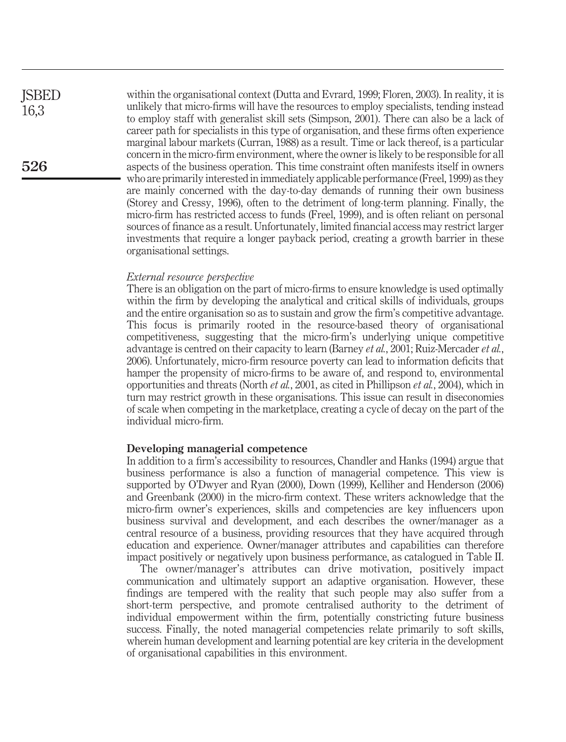within the organisational context (Dutta and Evrard, 1999; Floren, 2003). In reality, it is unlikely that micro-firms will have the resources to employ specialists, tending instead to employ staff with generalist skill sets (Simpson, 2001). There can also be a lack of career path for specialists in this type of organisation, and these firms often experience marginal labour markets (Curran, 1988) as a result. Time or lack thereof, is a particular concern in the micro-firm environment, where the owner is likely to be responsible for all aspects of the business operation. This time constraint often manifests itself in owners who are primarily interested in immediately applicable performance (Freel, 1999) as they are mainly concerned with the day-to-day demands of running their own business (Storey and Cressy, 1996), often to the detriment of long-term planning. Finally, the micro-firm has restricted access to funds (Freel, 1999), and is often reliant on personal sources of finance as a result. Unfortunately, limited financial access may restrict larger investments that require a longer payback period, creating a growth barrier in these organisational settings.

#### External resource berspective

There is an obligation on the part of micro-firms to ensure knowledge is used optimally within the firm by developing the analytical and critical skills of individuals, groups and the entire organisation so as to sustain and grow the firm's competitive advantage. This focus is primarily rooted in the resource-based theory of organisational competitiveness, suggesting that the micro-firm's underlying unique competitive advantage is centred on their capacity to learn (Barney et al., 2001; Ruiz-Mercader et al., 2006). Unfortunately, micro-firm resource poverty can lead to information deficits that hamper the propensity of micro-firms to be aware of, and respond to, environmental opportunities and threats (North *et al.*, 2001, as cited in Phillipson *et al.*, 2004), which in turn may restrict growth in these organisations. This issue can result in diseconomies of scale when competing in the marketplace, creating a cycle of decay on the part of the individual micro-firm.

#### Developing managerial competence

In addition to a firm's accessibility to resources, Chandler and Hanks (1994) argue that business performance is also a function of managerial competence. This view is supported by O'Dwyer and Ryan (2000), Down (1999), Kelliher and Henderson (2006) and Greenbank (2000) in the micro-firm context. These writers acknowledge that the micro-firm owner's experiences, skills and competencies are key influencers upon business survival and development, and each describes the owner/manager as a central resource of a business, providing resources that they have acquired through education and experience. Owner/manager attributes and capabilities can therefore impact positively or negatively upon business performance, as catalogued in Table II.

The owner/manager's attributes can drive motivation, positively impact communication and ultimately support an adaptive organisation. However, these findings are tempered with the reality that such people may also suffer from a short-term perspective, and promote centralised authority to the detriment of individual empowerment within the firm, potentially constricting future business success. Finally, the noted managerial competencies relate primarily to soft skills, wherein human development and learning potential are key criteria in the development of organisational capabilities in this environment.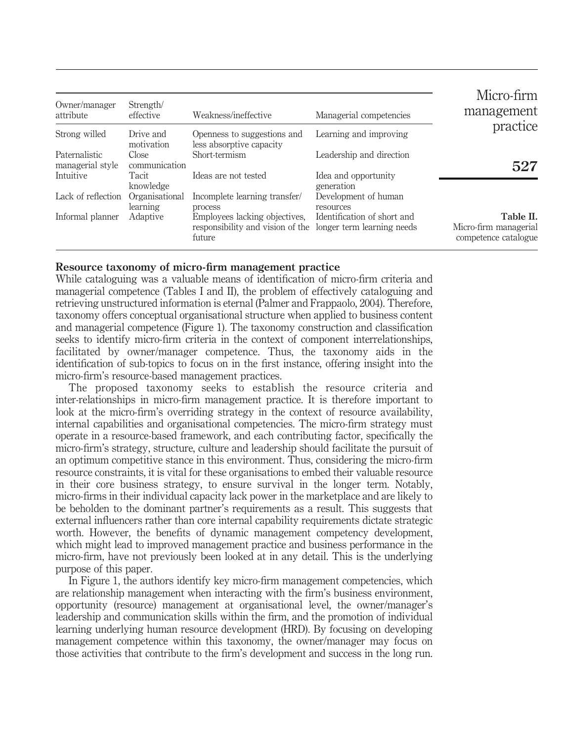| Owner/manager<br>attribute        | Strength/<br>effective     | Weakness/ineffective                                                                                   | Managerial competencies            | Micro-firm<br>management                                   |
|-----------------------------------|----------------------------|--------------------------------------------------------------------------------------------------------|------------------------------------|------------------------------------------------------------|
| Strong willed                     | Drive and<br>motivation    | Openness to suggestions and<br>less absorptive capacity                                                | Learning and improving             | practice                                                   |
| Paternalistic<br>managerial style | Close<br>communication     | Short-termism                                                                                          | Leadership and direction           | 527                                                        |
| Intuitive                         | Tacit<br>knowledge         | Ideas are not tested                                                                                   | Idea and opportunity<br>generation |                                                            |
| Lack of reflection                | Organisational<br>learning | Incomplete learning transfer/<br>process                                                               | Development of human<br>resources  |                                                            |
| Informal planner                  | Adaptive                   | Employees lacking objectives.<br>responsibility and vision of the longer term learning needs<br>future | Identification of short and        | Table II.<br>Micro-firm managerial<br>competence catalogue |

#### Resource taxonomy of micro-firm management practice

While cataloguing was a valuable means of identification of micro-firm criteria and managerial competence (Tables I and II), the problem of effectively cataloguing and retrieving unstructured information is eternal (Palmer and Frappaolo, 2004). Therefore, taxonomy offers conceptual organisational structure when applied to business content and managerial competence (Figure 1). The taxonomy construction and classification seeks to identify micro-firm criteria in the context of component interrelationships, facilitated by owner/manager competence. Thus, the taxonomy aids in the identification of sub-topics to focus on in the first instance, offering insight into the micro-firm's resource-based management practices.

The proposed taxonomy seeks to establish the resource criteria and inter-relationships in micro-firm management practice. It is therefore important to look at the micro-firm's overriding strategy in the context of resource availability, internal capabilities and organisational competencies. The micro-firm strategy must operate in a resource-based framework, and each contributing factor, specifically the micro-firm's strategy, structure, culture and leadership should facilitate the pursuit of an optimum competitive stance in this environment. Thus, considering the micro-firm resource constraints, it is vital for these organisations to embed their valuable resource in their core business strategy, to ensure survival in the longer term. Notably, micro-firms in their individual capacity lack power in the marketplace and are likely to be beholden to the dominant partner's requirements as a result. This suggests that external influencers rather than core internal capability requirements dictate strategic worth. However, the benefits of dynamic management competency development, which might lead to improved management practice and business performance in the micro-firm, have not previously been looked at in any detail. This is the underlying purpose of this paper.

In Figure 1, the authors identify key micro-firm management competencies, which are relationship management when interacting with the firm's business environment, opportunity (resource) management at organisational level, the owner/manager's leadership and communication skills within the firm, and the promotion of individual learning underlying human resource development (HRD). By focusing on developing management competence within this taxonomy, the owner/manager may focus on those activities that contribute to the firm's development and success in the long run.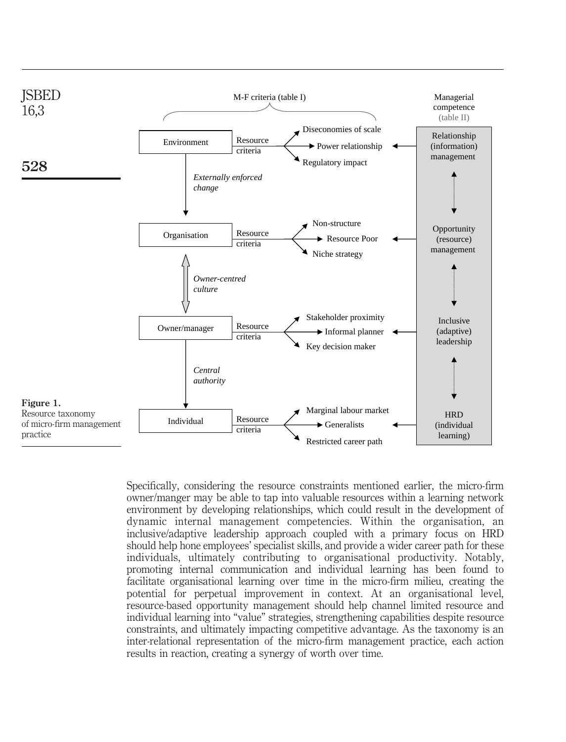

Specifically, considering the resource constraints mentioned earlier, the micro-firm owner/manger may be able to tap into valuable resources within a learning network environment by developing relationships, which could result in the development of dynamic internal management competencies. Within the organisation, an inclusive/adaptive leadership approach coupled with a primary focus on HRD should help hone employees' specialist skills, and provide a wider career path for these individuals, ultimately contributing to organisational productivity. Notably, promoting internal communication and individual learning has been found to facilitate organisational learning over time in the micro-firm milieu, creating the potential for perpetual improvement in context. At an organisational level, resource-based opportunity management should help channel limited resource and individual learning into "value" strategies, strengthening capabilities despite resource constraints, and ultimately impacting competitive advantage. As the taxonomy is an inter-relational representation of the micro-firm management practice, each action results in reaction, creating a synergy of worth over time.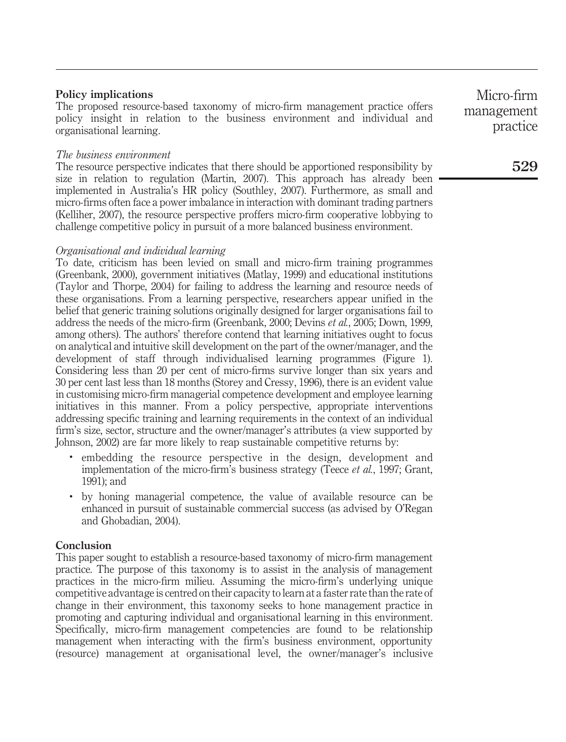# Policy implications

The proposed resource-based taxonomy of micro-firm management practice offers policy insight in relation to the business environment and individual and organisational learning.

# The business environment

The resource perspective indicates that there should be apportioned responsibility by size in relation to regulation (Martin, 2007). This approach has already been implemented in Australia's HR policy (Southley, 2007). Furthermore, as small and micro-firms often face a power imbalance in interaction with dominant trading partners (Kelliher, 2007), the resource perspective proffers micro-firm cooperative lobbying to challenge competitive policy in pursuit of a more balanced business environment.

# Organisational and individual learning

To date, criticism has been levied on small and micro-firm training programmes (Greenbank, 2000), government initiatives (Matlay, 1999) and educational institutions (Taylor and Thorpe, 2004) for failing to address the learning and resource needs of these organisations. From a learning perspective, researchers appear unified in the belief that generic training solutions originally designed for larger organisations fail to address the needs of the micro-firm (Greenbank, 2000; Devins et al., 2005; Down, 1999, among others). The authors' therefore contend that learning initiatives ought to focus on analytical and intuitive skill development on the part of the owner/manager, and the development of staff through individualised learning programmes (Figure 1). Considering less than 20 per cent of micro-firms survive longer than six years and 30 per cent last less than 18 months (Storey and Cressy, 1996), there is an evident value in customising micro-firm managerial competence development and employee learning initiatives in this manner. From a policy perspective, appropriate interventions addressing specific training and learning requirements in the context of an individual firm's size, sector, structure and the owner/manager's attributes (a view supported by Johnson, 2002) are far more likely to reap sustainable competitive returns by:

- . embedding the resource perspective in the design, development and implementation of the micro-firm's business strategy (Teece et al., 1997; Grant, 1991); and
- . by honing managerial competence, the value of available resource can be enhanced in pursuit of sustainable commercial success (as advised by O'Regan and Ghobadian, 2004).

# Conclusion

This paper sought to establish a resource-based taxonomy of micro-firm management practice. The purpose of this taxonomy is to assist in the analysis of management practices in the micro-firm milieu. Assuming the micro-firm's underlying unique competitive advantage is centred on their capacity to learn at a faster rate than the rate of change in their environment, this taxonomy seeks to hone management practice in promoting and capturing individual and organisational learning in this environment. Specifically, micro-firm management competencies are found to be relationship management when interacting with the firm's business environment, opportunity (resource) management at organisational level, the owner/manager's inclusive

Micro-firm management practice

529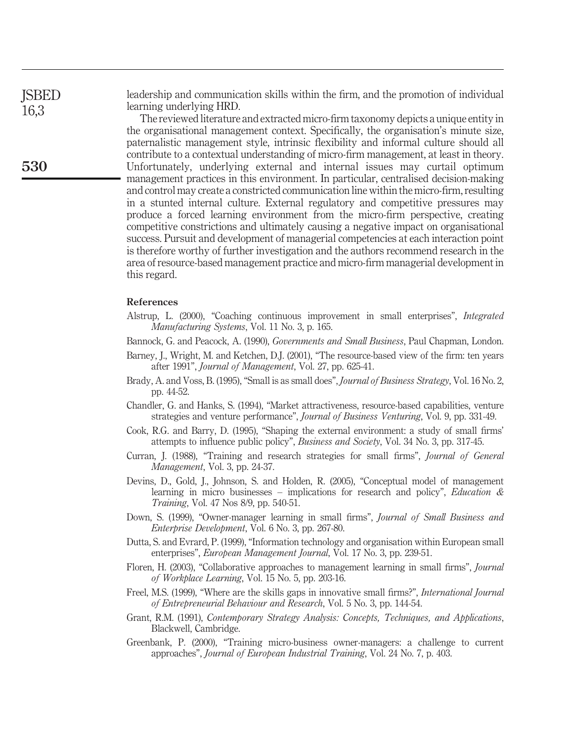leadership and communication skills within the firm, and the promotion of individual learning underlying HRD.

The reviewed literature and extracted micro-firm taxonomy depicts a unique entity in the organisational management context. Specifically, the organisation's minute size, paternalistic management style, intrinsic flexibility and informal culture should all contribute to a contextual understanding of micro-firm management, at least in theory. Unfortunately, underlying external and internal issues may curtail optimum management practices in this environment. In particular, centralised decision-making and control may create a constricted communication line within the micro-firm, resulting in a stunted internal culture. External regulatory and competitive pressures may produce a forced learning environment from the micro-firm perspective, creating competitive constrictions and ultimately causing a negative impact on organisational success. Pursuit and development of managerial competencies at each interaction point is therefore worthy of further investigation and the authors recommend research in the area of resource-based management practice and micro-firm managerial development in this regard.

#### References

- Alstrup, L. (2000), "Coaching continuous improvement in small enterprises", Integrated Manufacturing Systems, Vol. 11 No. 3, p. 165.
- Bannock, G. and Peacock, A. (1990), Governments and Small Business, Paul Chapman, London.
- Barney, J., Wright, M. and Ketchen, D.J. (2001), "The resource-based view of the firm: ten years after 1991", Journal of Management, Vol. 27, pp. 625-41.
- Brady, A. and Voss, B. (1995), "Small is as small does", *Journal of Business Strategy*, Vol. 16 No. 2, pp. 44-52.
- Chandler, G. and Hanks, S. (1994), "Market attractiveness, resource-based capabilities, venture strategies and venture performance", Journal of Business Venturing, Vol. 9, pp. 331-49.
- Cook, R.G. and Barry, D. (1995), "Shaping the external environment: a study of small firms' attempts to influence public policy", Business and Society, Vol. 34 No. 3, pp. 317-45.
- Curran, J. (1988), "Training and research strategies for small firms", Journal of General Management, Vol. 3, pp. 24-37.
- Devins, D., Gold, J., Johnson, S. and Holden, R. (2005), "Conceptual model of management learning in micro businesses – implications for research and policy", *Education*  $\&$ Training, Vol. 47 Nos 8/9, pp. 540-51.
- Down, S. (1999), "Owner-manager learning in small firms", *Journal of Small Business and* Enterprise Development, Vol. 6 No. 3, pp. 267-80.
- Dutta, S. and Evrard, P. (1999), "Information technology and organisation within European small enterprises", European Management Journal, Vol. 17 No. 3, pp. 239-51.
- Floren, H. (2003), "Collaborative approaches to management learning in small firms", Journal of Workplace Learning, Vol. 15 No. 5, pp. 203-16.
- Freel, M.S. (1999), "Where are the skills gaps in innovative small firms?", International Journal of Entrepreneurial Behaviour and Research, Vol. 5 No. 3, pp. 144-54.
- Grant, R.M. (1991), Contemporary Strategy Analysis: Concepts, Techniques, and Applications, Blackwell, Cambridge.
- Greenbank, P. (2000), "Training micro-business owner-managers: a challenge to current approaches", Journal of European Industrial Training, Vol. 24 No. 7, p. 403.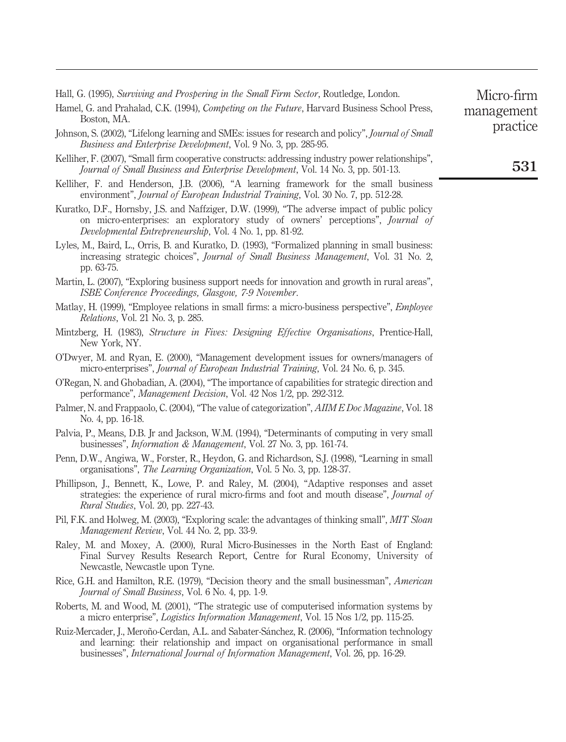| Hall, G. (1995), Surviving and Prospering in the Small Firm Sector, Routledge, London.                                                                                                                                                             | Micro-firm |
|----------------------------------------------------------------------------------------------------------------------------------------------------------------------------------------------------------------------------------------------------|------------|
| Hamel, G. and Prahalad, C.K. (1994), Competing on the Future, Harvard Business School Press,<br>Boston, MA.                                                                                                                                        | management |
| Johnson, S. (2002), "Lifelong learning and SMEs: issues for research and policy", Journal of Small<br><i>Business and Enterprise Development, Vol. 9 No. 3, pp. 285-95.</i>                                                                        | practice   |
| Kelliher, F. (2007), "Small firm cooperative constructs: addressing industry power relationships",<br>Journal of Small Business and Enterprise Development, Vol. 14 No. 3, pp. 501-13.                                                             | 531        |
| Kelliher, F. and Henderson, J.B. (2006), "A learning framework for the small business<br>environment", Journal of European Industrial Training, Vol. 30 No. 7, pp. 512-28.                                                                         |            |
| Kuratko, D.F., Hornsby, J.S. and Naffziger, D.W. (1999), "The adverse impact of public policy<br>on micro-enterprises: an exploratory study of owners' perceptions", <i>Journal of</i><br>Developmental Entrepreneurship, Vol. 4 No. 1, pp. 81-92. |            |
| Lyles, M., Baird, L., Orris, B. and Kuratko, D. (1993), "Formalized planning in small business:<br>increasing strategic choices", Journal of Small Business Management, Vol. 31 No. 2,<br>pp. 63-75.                                               |            |
| Martin, L. (2007), "Exploring business support needs for innovation and growth in rural areas",<br>ISBE Conference Proceedings, Glasgow, 7-9 November.                                                                                             |            |
| Matlay, H. (1999), "Employee relations in small firms: a micro-business perspective", Employee<br>Relations, Vol. 21 No. 3, p. 285.                                                                                                                |            |
| Mintzberg, H. (1983), Structure in Fives: Designing Effective Organisations, Prentice-Hall,<br>New York, NY.                                                                                                                                       |            |
| O'Dwyer, M. and Ryan, E. (2000), "Management development issues for owners/managers of<br>micro-enterprises", Journal of European Industrial Training, Vol. 24 No. 6, p. 345.                                                                      |            |
| O'Regan, N. and Ghobadian, A. (2004), "The importance of capabilities for strategic direction and<br>performance", Management Decision, Vol. 42 Nos 1/2, pp. 292-312.                                                                              |            |
| Palmer, N. and Frappaolo, C. (2004), "The value of categorization", AIIM E Doc Magazine, Vol. 18<br>No. 4, pp. 16-18.                                                                                                                              |            |
| Palvia, P., Means, D.B. Jr and Jackson, W.M. (1994), "Determinants of computing in very small<br>businesses", <i>Information &amp; Management</i> , Vol. 27 No. 3, pp. 161-74.                                                                     |            |
| Penn, D.W., Angiwa, W., Forster, R., Heydon, G. and Richardson, S.J. (1998), "Learning in small<br>organisations", The Learning Organization, Vol. 5 No. 3, pp. 128-37.                                                                            |            |
| Phillipson, J., Bennett, K., Lowe, P. and Raley, M. (2004), "Adaptive responses and asset<br>strategies: the experience of rural micro-firms and foot and mouth disease", Journal of<br>Rural Studies, Vol. 20, pp. 227-43.                        |            |
| Pil, F.K. and Holweg, M. (2003), "Exploring scale: the advantages of thinking small", MIT Sloan<br>Management Review, Vol. 44 No. 2, pp. 33-9.                                                                                                     |            |
| Raley, M. and Moxey, A. (2000), Rural Micro-Businesses in the North East of England:<br>Final Survey Results Research Report, Centre for Rural Economy, University of<br>Newcastle, Newcastle upon Tyne.                                           |            |
| Rice, G.H. and Hamilton, R.E. (1979), "Decision theory and the small businessman", American<br><i>Journal of Small Business, Vol. 6 No. 4, pp. 1-9.</i>                                                                                            |            |
| Roberts, M. and Wood, M. (2001), "The strategic use of computerised information systems by<br>a micro enterprise", Logistics Information Management, Vol. 15 Nos 1/2, pp. 115-25.                                                                  |            |

Ruiz-Mercader, J., Meroño-Cerdan, A.L. and Sabater-Sánchez, R. (2006), "Information technology and learning: their relationship and impact on organisational performance in small businesses", International Journal of Information Management, Vol. 26, pp. 16-29.